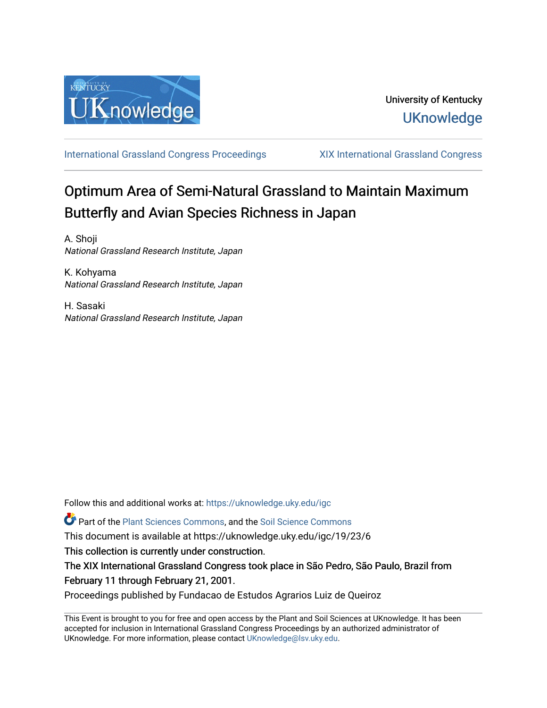

[International Grassland Congress Proceedings](https://uknowledge.uky.edu/igc) [XIX International Grassland Congress](https://uknowledge.uky.edu/igc/19) 

# Optimum Area of Semi-Natural Grassland to Maintain Maximum Butterfly and Avian Species Richness in Japan

A. Shoji National Grassland Research Institute, Japan

K. Kohyama National Grassland Research Institute, Japan

H. Sasaki National Grassland Research Institute, Japan

Follow this and additional works at: [https://uknowledge.uky.edu/igc](https://uknowledge.uky.edu/igc?utm_source=uknowledge.uky.edu%2Figc%2F19%2F23%2F6&utm_medium=PDF&utm_campaign=PDFCoverPages) 

Part of the [Plant Sciences Commons](http://network.bepress.com/hgg/discipline/102?utm_source=uknowledge.uky.edu%2Figc%2F19%2F23%2F6&utm_medium=PDF&utm_campaign=PDFCoverPages), and the [Soil Science Commons](http://network.bepress.com/hgg/discipline/163?utm_source=uknowledge.uky.edu%2Figc%2F19%2F23%2F6&utm_medium=PDF&utm_campaign=PDFCoverPages) 

This document is available at https://uknowledge.uky.edu/igc/19/23/6

This collection is currently under construction.

The XIX International Grassland Congress took place in São Pedro, São Paulo, Brazil from February 11 through February 21, 2001.

Proceedings published by Fundacao de Estudos Agrarios Luiz de Queiroz

This Event is brought to you for free and open access by the Plant and Soil Sciences at UKnowledge. It has been accepted for inclusion in International Grassland Congress Proceedings by an authorized administrator of UKnowledge. For more information, please contact [UKnowledge@lsv.uky.edu](mailto:UKnowledge@lsv.uky.edu).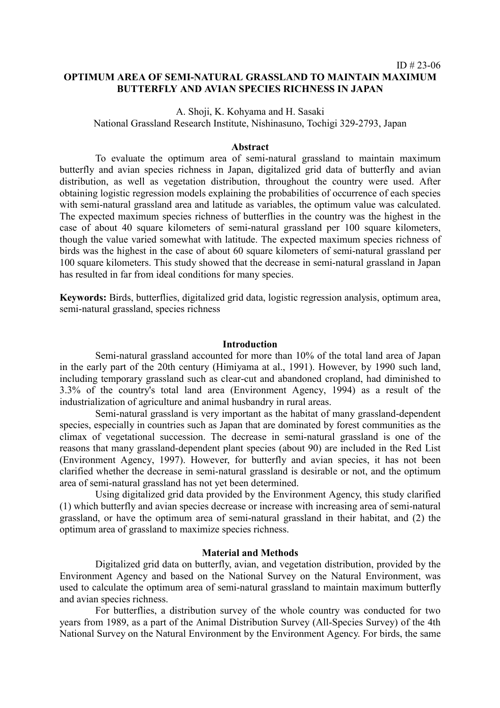## **OPTIMUM AREA OF SEMI-NATURAL GRASSLAND TO MAINTAIN MAXIMUM BUTTERFLY AND AVIAN SPECIES RICHNESS IN JAPAN**

ID # 23-06

A. Shoji, K. Kohyama and H. Sasaki National Grassland Research Institute, Nishinasuno, Tochigi 329-2793, Japan

#### **Abstract**

To evaluate the optimum area of semi-natural grassland to maintain maximum butterfly and avian species richness in Japan, digitalized grid data of butterfly and avian distribution, as well as vegetation distribution, throughout the country were used. After obtaining logistic regression models explaining the probabilities of occurrence of each species with semi-natural grassland area and latitude as variables, the optimum value was calculated. The expected maximum species richness of butterflies in the country was the highest in the case of about 40 square kilometers of semi-natural grassland per 100 square kilometers, though the value varied somewhat with latitude. The expected maximum species richness of birds was the highest in the case of about 60 square kilometers of semi-natural grassland per 100 square kilometers. This study showed that the decrease in semi-natural grassland in Japan has resulted in far from ideal conditions for many species.

**Keywords:** Birds, butterflies, digitalized grid data, logistic regression analysis, optimum area, semi-natural grassland, species richness

#### **Introduction**

Semi-natural grassland accounted for more than 10% of the total land area of Japan in the early part of the 20th century (Himiyama at al., 1991). However, by 1990 such land, including temporary grassland such as clear-cut and abandoned cropland, had diminished to 3.3% of the country's total land area (Environment Agency, 1994) as a result of the industrialization of agriculture and animal husbandry in rural areas.

Semi-natural grassland is very important as the habitat of many grassland-dependent species, especially in countries such as Japan that are dominated by forest communities as the climax of vegetational succession. The decrease in semi-natural grassland is one of the reasons that many grassland-dependent plant species (about 90) are included in the Red List (Environment Agency, 1997). However, for butterfly and avian species, it has not been clarified whether the decrease in semi-natural grassland is desirable or not, and the optimum area of semi-natural grassland has not yet been determined.

Using digitalized grid data provided by the Environment Agency, this study clarified (1) which butterfly and avian species decrease or increase with increasing area of semi-natural grassland, or have the optimum area of semi-natural grassland in their habitat, and (2) the optimum area of grassland to maximize species richness.

#### **Material and Methods**

Digitalized grid data on butterfly, avian, and vegetation distribution, provided by the Environment Agency and based on the National Survey on the Natural Environment, was used to calculate the optimum area of semi-natural grassland to maintain maximum butterfly and avian species richness.

For butterflies, a distribution survey of the whole country was conducted for two years from 1989, as a part of the Animal Distribution Survey (All-Species Survey) of the 4th National Survey on the Natural Environment by the Environment Agency. For birds, the same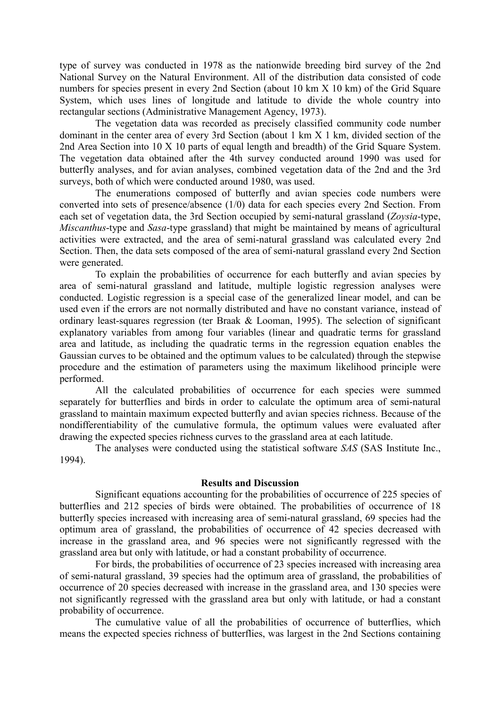type of survey was conducted in 1978 as the nationwide breeding bird survey of the 2nd National Survey on the Natural Environment. All of the distribution data consisted of code numbers for species present in every 2nd Section (about 10 km X 10 km) of the Grid Square System, which uses lines of longitude and latitude to divide the whole country into rectangular sections (Administrative Management Agency, 1973).

The vegetation data was recorded as precisely classified community code number dominant in the center area of every 3rd Section (about 1 km X 1 km, divided section of the 2nd Area Section into 10 X 10 parts of equal length and breadth) of the Grid Square System. The vegetation data obtained after the 4th survey conducted around 1990 was used for butterfly analyses, and for avian analyses, combined vegetation data of the 2nd and the 3rd surveys, both of which were conducted around 1980, was used.

The enumerations composed of butterfly and avian species code numbers were converted into sets of presence/absence (1/0) data for each species every 2nd Section. From each set of vegetation data, the 3rd Section occupied by semi-natural grassland (*Zoysia*-type, *Miscanthus*-type and *Sasa*-type grassland) that might be maintained by means of agricultural activities were extracted, and the area of semi-natural grassland was calculated every 2nd Section. Then, the data sets composed of the area of semi-natural grassland every 2nd Section were generated.

To explain the probabilities of occurrence for each butterfly and avian species by area of semi-natural grassland and latitude, multiple logistic regression analyses were conducted. Logistic regression is a special case of the generalized linear model, and can be used even if the errors are not normally distributed and have no constant variance, instead of ordinary least-squares regression (ter Braak & Looman, 1995). The selection of significant explanatory variables from among four variables (linear and quadratic terms for grassland area and latitude, as including the quadratic terms in the regression equation enables the Gaussian curves to be obtained and the optimum values to be calculated) through the stepwise procedure and the estimation of parameters using the maximum likelihood principle were performed.

All the calculated probabilities of occurrence for each species were summed separately for butterflies and birds in order to calculate the optimum area of semi-natural grassland to maintain maximum expected butterfly and avian species richness. Because of the nondifferentiability of the cumulative formula, the optimum values were evaluated after drawing the expected species richness curves to the grassland area at each latitude.

The analyses were conducted using the statistical software *SAS* (SAS Institute Inc., 1994).

### **Results and Discussion**

Significant equations accounting for the probabilities of occurrence of 225 species of butterflies and 212 species of birds were obtained. The probabilities of occurrence of 18 butterfly species increased with increasing area of semi-natural grassland, 69 species had the optimum area of grassland, the probabilities of occurrence of 42 species decreased with increase in the grassland area, and 96 species were not significantly regressed with the grassland area but only with latitude, or had a constant probability of occurrence.

For birds, the probabilities of occurrence of 23 species increased with increasing area of semi-natural grassland, 39 species had the optimum area of grassland, the probabilities of occurrence of 20 species decreased with increase in the grassland area, and 130 species were not significantly regressed with the grassland area but only with latitude, or had a constant probability of occurrence.

The cumulative value of all the probabilities of occurrence of butterflies, which means the expected species richness of butterflies, was largest in the 2nd Sections containing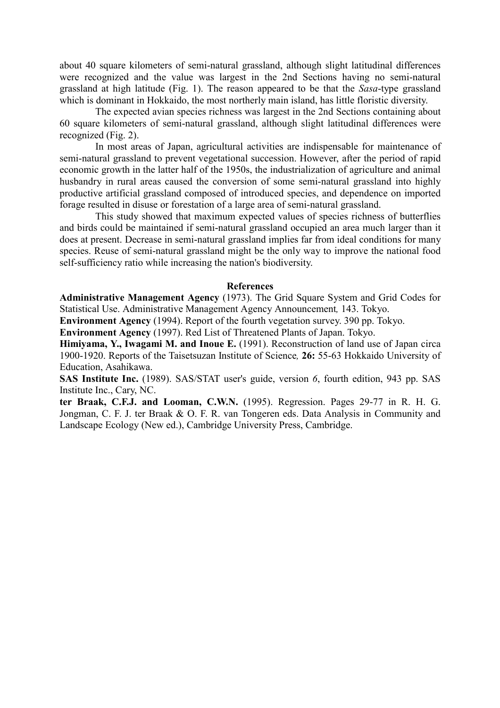about 40 square kilometers of semi-natural grassland, although slight latitudinal differences were recognized and the value was largest in the 2nd Sections having no semi-natural grassland at high latitude (Fig. 1). The reason appeared to be that the *Sasa*-type grassland which is dominant in Hokkaido, the most northerly main island, has little floristic diversity.

The expected avian species richness was largest in the 2nd Sections containing about 60 square kilometers of semi-natural grassland, although slight latitudinal differences were recognized (Fig. 2).

In most areas of Japan, agricultural activities are indispensable for maintenance of semi-natural grassland to prevent vegetational succession. However, after the period of rapid economic growth in the latter half of the 1950s, the industrialization of agriculture and animal husbandry in rural areas caused the conversion of some semi-natural grassland into highly productive artificial grassland composed of introduced species, and dependence on imported forage resulted in disuse or forestation of a large area of semi-natural grassland.

This study showed that maximum expected values of species richness of butterflies and birds could be maintained if semi-natural grassland occupied an area much larger than it does at present. Decrease in semi-natural grassland implies far from ideal conditions for many species. Reuse of semi-natural grassland might be the only way to improve the national food self-sufficiency ratio while increasing the nation's biodiversity.

#### **References**

**Administrative Management Agency** (1973). The Grid Square System and Grid Codes for Statistical Use. Administrative Management Agency Announcement*,* 143. Tokyo.

**Environment Agency** (1994). Report of the fourth vegetation survey. 390 pp. Tokyo.

**Environment Agency** (1997). Red List of Threatened Plants of Japan. Tokyo.

**Himiyama, Y., Iwagami M. and Inoue E.** (1991). Reconstruction of land use of Japan circa 1900-1920. Reports of the Taisetsuzan Institute of Science*,* **26:** 55-63 Hokkaido University of Education, Asahikawa.

**SAS Institute Inc.** (1989). SAS/STAT user's guide, version *6*, fourth edition, 943 pp. SAS Institute Inc., Cary, NC.

**ter Braak, C.F.J. and Looman, C.W.N.** (1995). Regression. Pages 29-77 in R. H. G. Jongman, C. F. J. ter Braak & O. F. R. van Tongeren eds. Data Analysis in Community and Landscape Ecology (New ed.), Cambridge University Press, Cambridge.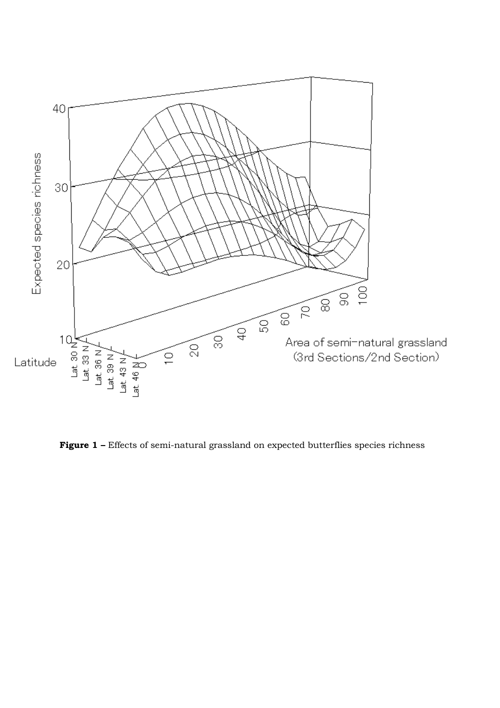

Figure 1 - Effects of semi-natural grassland on expected butterflies species richness